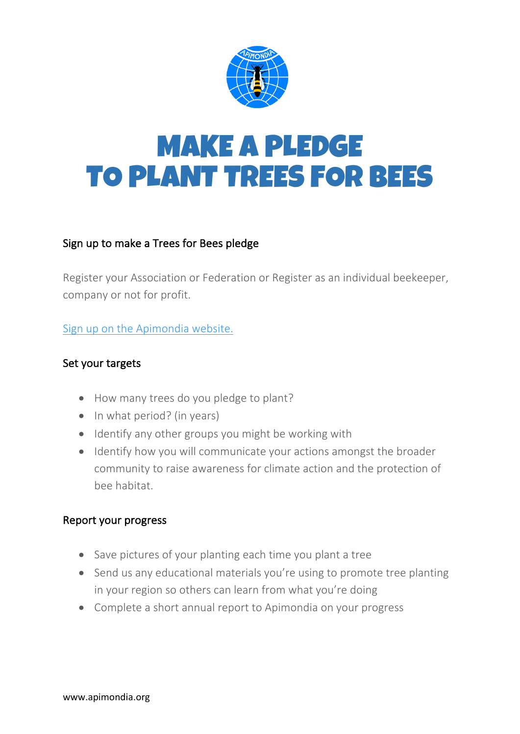

# MAKE A PLEDGE TO PLANT TREES FOR BEES

### Sign up to make a Trees for Bees pledge

Register your Association or Federation or Register as an individual beekeeper, company or not for profit.

Sign up on the Apimondia website.

### Set your targets

- How many trees do you pledge to plant?
- In what period? (in years)
- Identify any other groups you might be working with
- Identify how you will communicate your actions amongst the broader community to raise awareness for climate action and the protection of bee habitat.

#### Report your progress

- Save pictures of your planting each time you plant a tree
- Send us any educational materials you're using to promote tree planting in your region so others can learn from what you're doing
- Complete a short annual report to Apimondia on your progress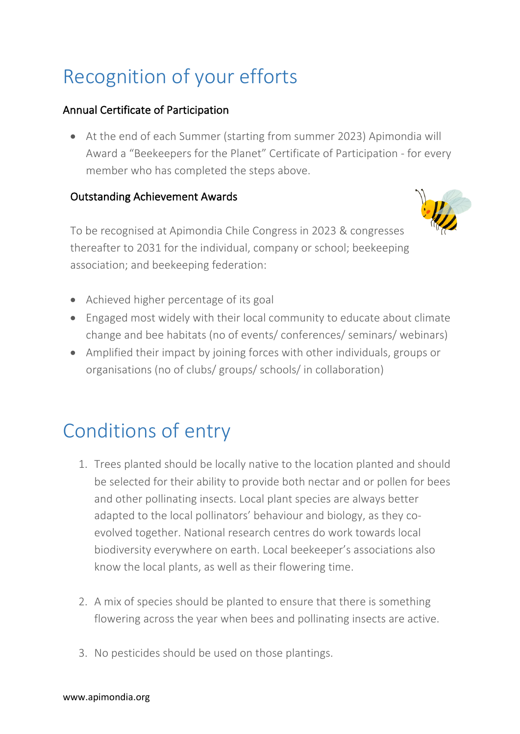## Recognition of your efforts

### Annual Certificate of Participation

• At the end of each Summer (starting from summer 2023) Apimondia will Award a "Beekeepers for the Planet" Certificate of Participation - for every member who has completed the steps above.

### Outstanding Achievement Awards



To be recognised at Apimondia Chile Congress in 2023 & congresses thereafter to 2031 for the individual, company or school; beekeeping association; and beekeeping federation:

- Achieved higher percentage of its goal
- Engaged most widely with their local community to educate about climate change and bee habitats (no of events/ conferences/ seminars/ webinars)
- Amplified their impact by joining forces with other individuals, groups or organisations (no of clubs/ groups/ schools/ in collaboration)

### Conditions of entry

- 1. Trees planted should be locally native to the location planted and should be selected for their ability to provide both nectar and or pollen for bees and other pollinating insects. Local plant species are always better adapted to the local pollinators' behaviour and biology, as they coevolved together. National research centres do work towards local biodiversity everywhere on earth. Local beekeeper's associations also know the local plants, as well as their flowering time.
- 2. A mix of species should be planted to ensure that there is something flowering across the year when bees and pollinating insects are active.
- 3. No pesticides should be used on those plantings.